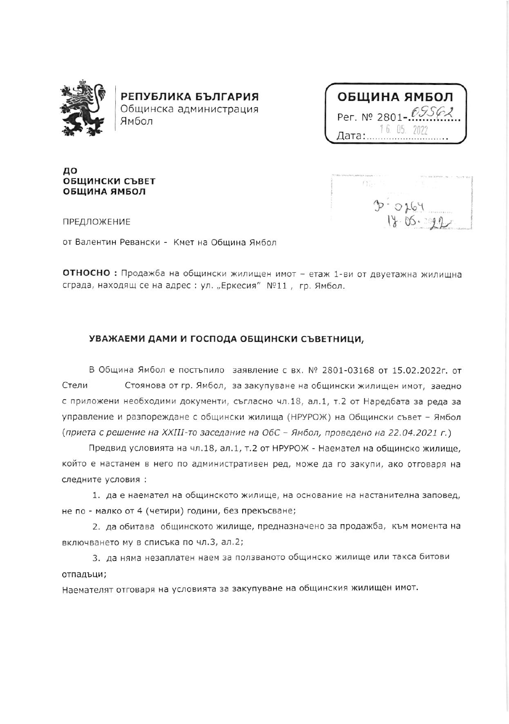

РЕПУБЛИКА БЪЛГАРИЯ Общинска администрация Ямбол

| ОБЩИНА ЯМБОЛ        |
|---------------------|
| Per. Nº 2801-09562  |
| 16.05.2022<br>Дата: |

до ОБЩИНСКИ СЪВЕТ ОБЩИНА ЯМБОЛ

 $\Omega_{E}$  $D - 0164$ 

ПРЕДЛОЖЕНИЕ

от Валентин Ревански - Кмет на Община Ямбол

ОТНОСНО: Продажба на общински жилищен имот - етаж 1-ви от двуетажна жилищна сграда, находящ се на адрес : ул. "Еркесия" №11, гр. Ямбол.

## УВАЖАЕМИ ДАМИ И ГОСПОДА ОБЩИНСКИ СЪВЕТНИЦИ,

В Община Ямбол е постъпило заявление с вх. № 2801-03168 от 15.02.2022г. от Стели Стоянова от гр. Ямбол, за закупуване на общински жилищен имот, заедно с приложени необходими документи, съгласно чл.18, ал.1, т.2 от Наредбата за реда за управление и разпореждане с общински жилища (НРУРОЖ) на Общински съвет - Ямбол (приета с решение на XXIII-то заседание на ОбС - Ямбол, проведено на 22.04.2021 г.)

Предвид условията на чл.18, ал.1, т.2 от НРУРОЖ - Наемател на общинско жилище, който е настанен в него по административен ред, може да го закупи, ако отговаря на следните условия:

1. да е наемател на общинското жилище, на основание на настанителна заповед, не по - малко от 4 (четири) години, без прекъсване;

2. да обитава общинското жилище, предназначено за продажба, към момента на включването му в списъка по чл.3, ал.2;

3. да няма незаплатен наем за ползваното общинско жилище или такса битови отпадъци;

Наемателят отговаря на условията за закупуване на общинския жилищен имот.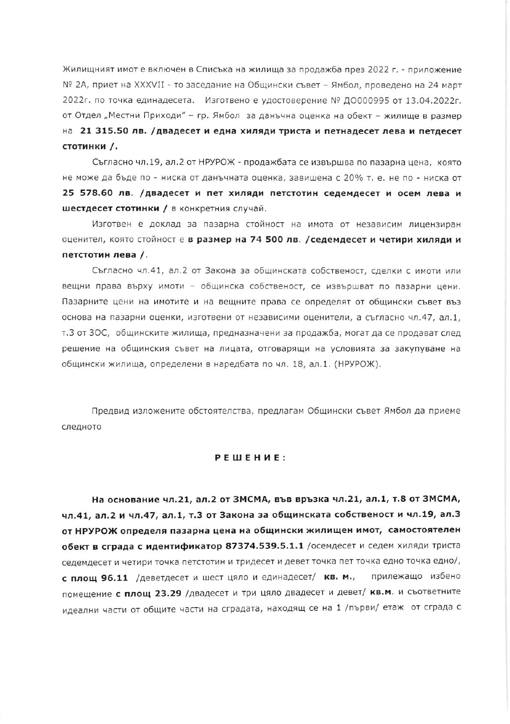Жилищният имот е включен в Списъка на жилища за продажба през 2022 г. - приложение № 2А, приет на XXXVII - то заседание на Общински съвет – Ямбол, проведено на 24 март 2022г. по точка единадесета. Изготвено е удостоверение № ДО000995 от 13.04.2022г. от Отдел "Местни Приходи" - гр. Ямбол за данъчна оценка на обект - жилище в размер на 21 315.50 лв. /двадесет и една хиляди триста и петнадесет лева и петдесет стотинки /.

Съгласно чл.19, ал.2 от НРУРОЖ - продажбата се извършва по пазарна цена, която не може да бъде по - ниска от данъчната оценка, завишена с 20% т. е. не по - ниска от 25 578.60 лв. /двадесет и пет хиляди петстотин седемдесет и осем лева и шестдесет стотинки / в конкретния случай.

Изготвен е доклад за пазарна стойност на имота от независим лицензиран оценител, която стойност е в размер на 74 500 лв. / седемдесет и четири хиляди и петстотин лева /.

Съгласно чл.41, ал.2 от Закона за общинската собственост, сделки с имоти или вещни права върху имоти - общинска собственост, се извършват по пазарни цени. Пазарните цени на имотите и на вещните права се определят от общински съвет въз основа на пазарни оценки, изготвени от независими оценители, а съгласно чл.47, ал.1, т.3 от 3ОС, общинските жилища, предназначени за продажба, могат да се продават след решение на общинския съвет на лицата, отговарящи на условията за закупуване на общински жилища, определени в наредбата по чл. 18, ал.1. (НРУРОЖ).

Предвид изложените обстоятелства, предлагам Общински съвет Ямбол да приеме следното

## PEWEHME:

На основание чл.21, ал.2 от ЗМСМА, във връзка чл.21, ал.1, т.8 от ЗМСМА, чл.41, ал.2 и чл.47, ал.1, т.3 от Закона за общинската собственост и чл.19, ал.3 от НРУРОЖ определя пазарна цена на общински жилищен имот, самостоятелен обект в сграда с идентификатор 87374.539.5.1.1 /осемдесет и седем хиляди триста седемдесет и четири точка петстотин и тридесет и девет точка пет точка едно точка едно/, с площ 96.11 /деветдесет и шест цяло и единадесет/ кв. м., прилежащо избено помещение с площ 23.29 /двадесет и три цяло двадесет и девет/ кв.м. и съответните идеални части от общите части на сградата, находящ се на 1 /първи/ етаж от сграда с